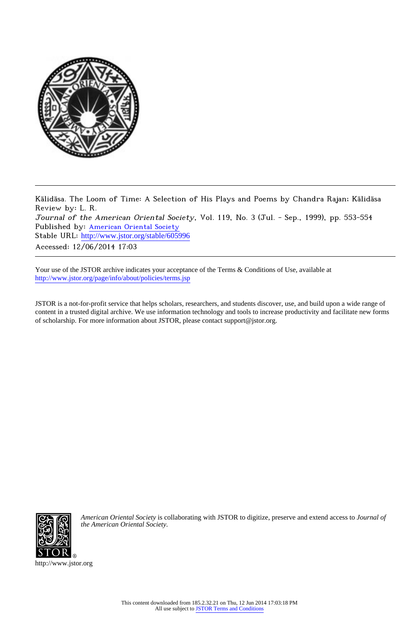

Kālidāsa. The Loom of Time: A Selection of His Plays and Poems by Chandra Rajan; Kālidāsa Review by: L. R. Journal of the American Oriental Society, Vol. 119, No. 3 (Jul. - Sep., 1999), pp. 553-554 Published by: [American Oriental Society](http://www.jstor.org/action/showPublisher?publisherCode=aos) Stable URL: http://www.jstor.org/stable/605996 Accessed: 12/06/2014 17:03

Your use of the JSTOR archive indicates your acceptance of the Terms & Conditions of Use, available at <http://www.jstor.org/page/info/about/policies/terms.jsp>

JSTOR is a not-for-profit service that helps scholars, researchers, and students discover, use, and build upon a wide range of content in a trusted digital archive. We use information technology and tools to increase productivity and facilitate new forms of scholarship. For more information about JSTOR, please contact support@jstor.org.



*American Oriental Society* is collaborating with JSTOR to digitize, preserve and extend access to *Journal of the American Oriental Society.*

http://www.jstor.org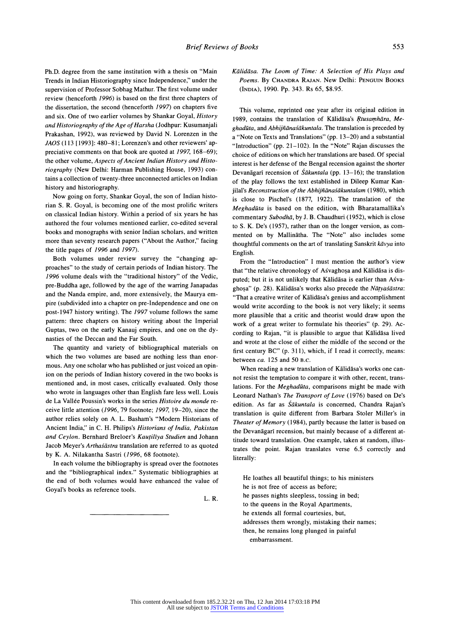**Ph.D. degree from the same institution with a thesis on "Main Trends in Indian Historiography since Independence," under the supervision of Professor Sobhag Mathur. The first volume under review (henceforth 1996) is based on the first three chapters of the dissertation, the second (henceforth 1997) on chapters five and six. One of two earlier volumes by Shankar Goyal, History and Historiography of the Age of Harsha (Jodhpur: Kusumanjali Prakashan, 1992), was reviewed by David N. Lorenzen in the JAOS (113 [1993]: 480-81; Lorenzen's and other reviewers' appreciative comments on that book are quoted at 1997, 168-69); the other volume, Aspects of Ancient Indian History and Historiography (New Delhi: Harman Publishing House, 1993) contains a collection of twenty-three unconnected articles on Indian history and historiography.** 

**Now going on forty, Shankar Goyal, the son of Indian historian S. R. Goyal, is becoming one of the most prolific writers on classical Indian history. Within a period of six years he has authored the four volumes mentioned earlier, co-edited several books and monographs with senior Indian scholars, and written more than seventy research papers ("About the Author," facing the title pages of 1996 and 1997).** 

**Both volumes under review survey the "changing approaches" to the study of certain periods of Indian history. The 1996 volume deals with the "traditional history" of the Vedic, pre-Buddha age, followed by the age of the warring Janapadas and the Nanda empire, and, more extensively, the Maurya empire (subdivided into a chapter on pre-Independence and one on post-1947 history writing). The 1997 volume follows the same pattern: three chapters on history writing about the Imperial Guptas, two on the early Kanauj empires, and one on the dynasties of the Deccan and the Far South.** 

**The quantity and variety of bibliographical materials on which the two volumes are based are nothing less than enormous. Any one scholar who has published or just voiced an opinion on the periods of Indian history covered in the two books is mentioned and, in most cases, critically evaluated. Only those who wrote in languages other than English fare less well. Louis de La Vallee Poussin's works in the series Histoire du monde receive little attention (1996, 79 footnote; 1997, 19-20), since the author relies solely on A. L. Basham's "Modern Historians of Ancient India," in C. H. Philips's Historians of India, Pakistan and Ceylon. Bernhard Breloer's Kautiliya Studien and Johann**  Jacob Meyer's Arthasastra translation are referred to as quoted **by K. A. Nilakantha Sastri (1996, 68 footnote).** 

**In each volume the bibliography is spread over the footnotes and the "bibliographical index." Systematic bibliographies at the end of both volumes would have enhanced the value of Goyal's books as reference tools.** 

**L. R.** 

## **Kalidasa. The Loom of Time: A Selection of His Plays and Poems. By CHANDRA RAJAN. New Delhi: PENGUIN BOOKS (INDIA), 1990. Pp. 343. Rs 65, \$8.95.**

**This volume, reprinted one year after its original edition in**  1989, contains the translation of Kālidāsa's Rtusamhāra, Meghadūta, and Abhijñānaśākuntala. The translation is preceded by **a "Note on Texts and Translations" (pp. 13-20) and a substantial "Introduction" (pp. 21-102). In the "Note" Rajan discusses the choice of editions on which her translations are based. Of special interest is her defense of the Bengal recension against the shorter Devanagari recension of Sakuntala (pp. 13–16); the translation of the play follows the text established in Dileep Kumar Kan**jilal's Reconstruction of the Abhijñānaśākuntalam (1980), which **is close to Pischel's (1877, 1922). The translation of the Meghaduta is based on the edition, with Bharatamallika's**  commentary Subodhā, by J. B. Chaudhuri (1952), which is close **to S. K. De's (1957), rather than on the longer version, as commented on by Mallinatha. The "Note" also includes some**  thoughtful comments on the art of translating Sanskrit kavya into **English.** 

**From the "Introduction" I must mention the author's view that "the relative chronology of Asvaghosa and Kalidasa is dis**puted; but it is not unlikely that Kālidāsa is earlier than Asvaghosa" (p. 28). Kālidāsa's works also precede the Nāțyasāstra: **"That a creative writer of Kalidasa's genius and accomplishment would write according to the book is not very likely; it seems more plausible that a critic and theorist would draw upon the work of a great writer to formulate his theories" (p. 29). Ac**cording to Rajan, "it is plausible to argue that Kalidasa lived **and wrote at the close of either the middle of the second or the first century BC" (p. 311), which, if I read it correctly, means: between ca. 125 and 50 B.c.** 

When reading a new translation of Kalidasa's works one can**not resist the temptation to compare it with other, recent, trans**lations. For the *Meghadūta*, comparisons might be made with **Leonard Nathan's The Transport of Love (1976) based on De's**  edition. As far as *Śākuntala* is concerned, Chandra Rajan's **translation is quite different from Barbara Stoler Miller's in Theater of Memory (1984), partly because the latter is based on the Devanagari recension, but mainly because of a different attitude toward translation. One example, taken at random, illustrates the point. Rajan translates verse 6.5 correctly and literally:** 

**He loathes all beautiful things; to his ministers he is not free of access as before; he passes nights sleepless, tossing in bed; to the queens in the Royal Apartments, he extends all formal courtesies, but, addresses them wrongly, mistaking their names; then, he remains long plunged in painful embarrassment.**